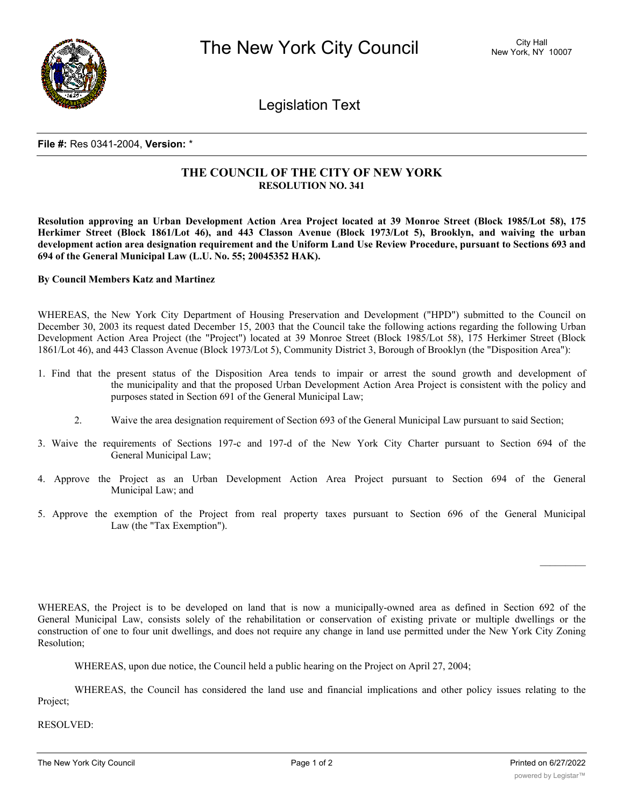

Legislation Text

## **File #:** Res 0341-2004, **Version:** \*

## **THE COUNCIL OF THE CITY OF NEW YORK RESOLUTION NO. 341**

Resolution approving an Urban Development Action Area Project located at 39 Monroe Street (Block 1985/Lot 58), 175 Herkimer Street (Block 1861/Lot 46), and 443 Classon Avenue (Block 1973/Lot 5), Brooklyn, and waiving the urban development action area designation requirement and the Uniform Land Use Review Procedure, pursuant to Sections 693 and **694 of the General Municipal Law (L.U. No. 55; 20045352 HAK).**

## **By Council Members Katz and Martinez**

WHEREAS, the New York City Department of Housing Preservation and Development ("HPD") submitted to the Council on December 30, 2003 its request dated December 15, 2003 that the Council take the following actions regarding the following Urban Development Action Area Project (the "Project") located at 39 Monroe Street (Block 1985/Lot 58), 175 Herkimer Street (Block 1861/Lot 46), and 443 Classon Avenue (Block 1973/Lot 5), Community District 3, Borough of Brooklyn (the "Disposition Area"):

- 1. Find that the present status of the Disposition Area tends to impair or arrest the sound growth and development of the municipality and that the proposed Urban Development Action Area Project is consistent with the policy and purposes stated in Section 691 of the General Municipal Law;
	- 2. Waive the area designation requirement of Section 693 of the General Municipal Law pursuant to said Section;
- 3. Waive the requirements of Sections 197-c and 197-d of the New York City Charter pursuant to Section 694 of the General Municipal Law;
- 4. Approve the Project as an Urban Development Action Area Project pursuant to Section 694 of the General Municipal Law; and
- 5. Approve the exemption of the Project from real property taxes pursuant to Section 696 of the General Municipal Law (the "Tax Exemption").

WHEREAS, the Project is to be developed on land that is now a municipally-owned area as defined in Section 692 of the General Municipal Law, consists solely of the rehabilitation or conservation of existing private or multiple dwellings or the construction of one to four unit dwellings, and does not require any change in land use permitted under the New York City Zoning Resolution;

WHEREAS, upon due notice, the Council held a public hearing on the Project on April 27, 2004;

WHEREAS, the Council has considered the land use and financial implications and other policy issues relating to the Project;

RESOLVED:

 $\frac{1}{2}$